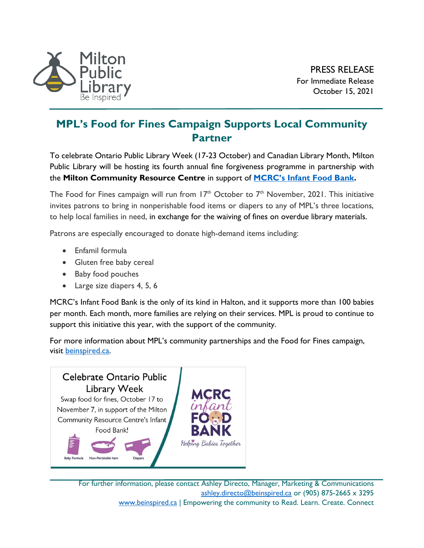

## **MPL's Food for Fines Campaign Supports Local Community Partner**

To celebrate Ontario Public Library Week (17-23 October) and Canadian Library Month, Milton Public Library will be hosting its fourth annual fine forgiveness programme in partnership with the **Milton Community Resource Centre** in support of **MCRC's [Infant Food Bank.](https://mcrc.on.ca/infantfoodbank/)**

The Food for Fines campaign will run from  $17<sup>th</sup>$  October to  $7<sup>th</sup>$  November, 2021. This initiative invites patrons to bring in nonperishable food items or diapers to any of MPL's three locations, to help local families in need, in exchange for the waiving of fines on overdue library materials.

Patrons are especially encouraged to donate high-demand items including:

- Enfamil formula
- Gluten free baby cereal
- Baby food pouches
- Large size diapers 4, 5, 6

MCRC's Infant Food Bank is the only of its kind in Halton, and it supports more than 100 babies per month. Each month, more families are relying on their services. MPL is proud to continue to support this initiative this year, with the support of the community.

For more information about MPL's community partnerships and the Food for Fines campaign, visit [beinspired.ca.](https://beinspired.ca/)



For further information, please contact Ashley Directo, Manager, Marketing & Communications [ashley.directo@beinspired.ca](mailto:ashley.directo@beinspired.ca) or (905) 875-2665 x 3295 [www.beinspired.ca](http://www.beinspired.ca/) | Empowering the community to Read. Learn. Create. Connect